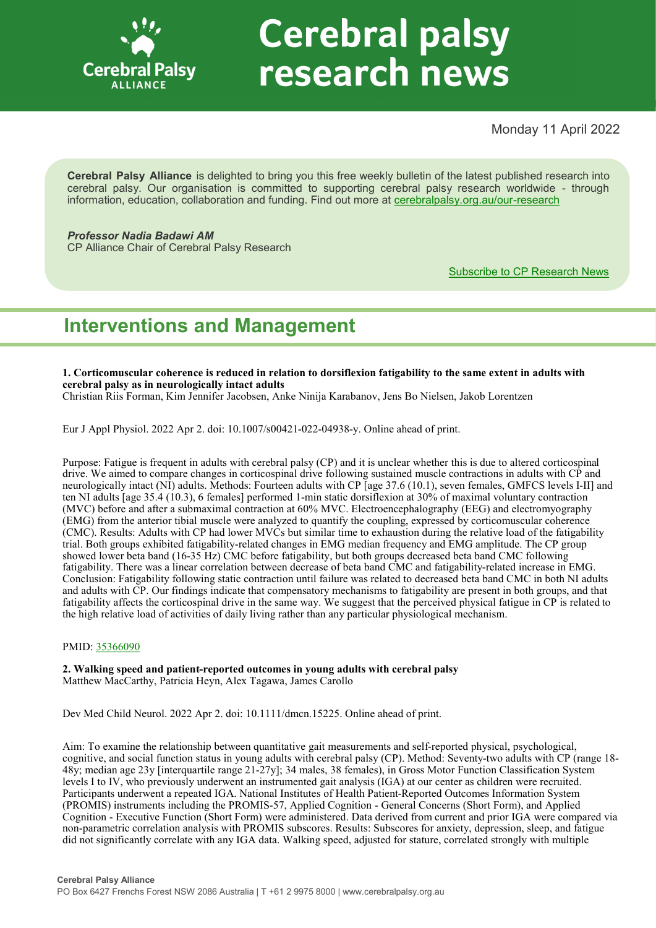

# **Cerebral palsy** research news

Monday 11 April 2022

**Cerebral Palsy Alliance** is delighted to bring you this free weekly bulletin of the latest published research into cerebral palsy. Our organisation is committed to supporting cerebral palsy research worldwide - through information, education, collaboration and funding. Find out more at [cerebralpalsy.org.au/our](https://cerebralpalsy.org.au/our-research/)-research

*Professor Nadia Badawi AM* CP Alliance Chair of Cerebral Palsy Research

[Subscribe to CP Research News](https://cerebralpalsy.org.au/our-research/get-involved-research/cp-research-newsletters/)

# **Interventions and Management**

**1. Corticomuscular coherence is reduced in relation to dorsiflexion fatigability to the same extent in adults with cerebral palsy as in neurologically intact adults**

Christian Riis Forman, Kim Jennifer Jacobsen, Anke Ninija Karabanov, Jens Bo Nielsen, Jakob Lorentzen

Eur J Appl Physiol. 2022 Apr 2. doi: 10.1007/s00421-022-04938-y. Online ahead of print.

Purpose: Fatigue is frequent in adults with cerebral palsy (CP) and it is unclear whether this is due to altered corticospinal drive. We aimed to compare changes in corticospinal drive following sustained muscle contractions in adults with CP and neurologically intact (NI) adults. Methods: Fourteen adults with CP [age 37.6 (10.1), seven females, GMFCS levels I-II] and ten NI adults [age 35.4 (10.3), 6 females] performed 1-min static dorsiflexion at 30% of maximal voluntary contraction (MVC) before and after a submaximal contraction at 60% MVC. Electroencephalography (EEG) and electromyography (EMG) from the anterior tibial muscle were analyzed to quantify the coupling, expressed by corticomuscular coherence (CMC). Results: Adults with CP had lower MVCs but similar time to exhaustion during the relative load of the fatigability trial. Both groups exhibited fatigability-related changes in EMG median frequency and EMG amplitude. The CP group showed lower beta band (16-35 Hz) CMC before fatigability, but both groups decreased beta band CMC following fatigability. There was a linear correlation between decrease of beta band CMC and fatigability-related increase in EMG. Conclusion: Fatigability following static contraction until failure was related to decreased beta band CMC in both NI adults and adults with CP. Our findings indicate that compensatory mechanisms to fatigability are present in both groups, and that fatigability affects the corticospinal drive in the same way. We suggest that the perceived physical fatigue in CP is related to the high relative load of activities of daily living rather than any particular physiological mechanism.

#### PMID: [35366090](http://www.ncbi.nlm.nih.gov/pubmed/35366090)

**2. Walking speed and patient-reported outcomes in young adults with cerebral palsy** Matthew MacCarthy, Patricia Heyn, Alex Tagawa, James Carollo

Dev Med Child Neurol. 2022 Apr 2. doi: 10.1111/dmcn.15225. Online ahead of print.

Aim: To examine the relationship between quantitative gait measurements and self-reported physical, psychological, cognitive, and social function status in young adults with cerebral palsy (CP). Method: Seventy-two adults with CP (range 18- 48y; median age 23y [interquartile range 21-27y]; 34 males, 38 females), in Gross Motor Function Classification System levels I to IV, who previously underwent an instrumented gait analysis (IGA) at our center as children were recruited. Participants underwent a repeated IGA. National Institutes of Health Patient-Reported Outcomes Information System (PROMIS) instruments including the PROMIS-57, Applied Cognition - General Concerns (Short Form), and Applied Cognition - Executive Function (Short Form) were administered. Data derived from current and prior IGA were compared via non-parametric correlation analysis with PROMIS subscores. Results: Subscores for anxiety, depression, sleep, and fatigue did not significantly correlate with any IGA data. Walking speed, adjusted for stature, correlated strongly with multiple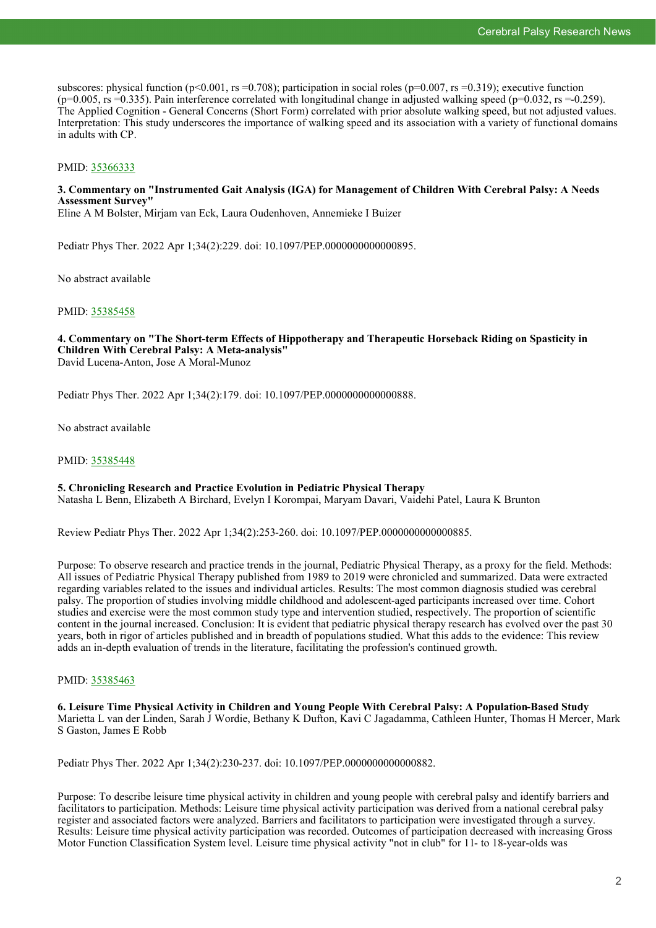subscores: physical function (p<0.001, rs =0.708); participation in social roles (p=0.007, rs =0.319); executive function  $(p=0.005, rs=0.335)$ . Pain interference correlated with longitudinal change in adjusted walking speed  $(p=0.032, rs=0.259)$ . The Applied Cognition - General Concerns (Short Form) correlated with prior absolute walking speed, but not adjusted values. Interpretation: This study underscores the importance of walking speed and its association with a variety of functional domains in adults with CP.

#### PMID: [35366333](http://www.ncbi.nlm.nih.gov/pubmed/35366333)

#### **3. Commentary on "Instrumented Gait Analysis (IGA) for Management of Children With Cerebral Palsy: A Needs Assessment Survey"**

Eline A M Bolster, Mirjam van Eck, Laura Oudenhoven, Annemieke I Buizer

Pediatr Phys Ther. 2022 Apr 1;34(2):229. doi: 10.1097/PEP.0000000000000895.

No abstract available

#### PMID: [35385458](http://www.ncbi.nlm.nih.gov/pubmed/35385458)

#### **4. Commentary on "The Short-term Effects of Hippotherapy and Therapeutic Horseback Riding on Spasticity in Children With Cerebral Palsy: A Meta-analysis"** David Lucena-Anton, Jose A Moral-Munoz

Pediatr Phys Ther. 2022 Apr 1;34(2):179. doi: 10.1097/PEP.0000000000000888.

No abstract available

#### PMID: [35385448](http://www.ncbi.nlm.nih.gov/pubmed/35385448)

#### **5. Chronicling Research and Practice Evolution in Pediatric Physical Therapy**

Natasha L Benn, Elizabeth A Birchard, Evelyn I Korompai, Maryam Davari, Vaidehi Patel, Laura K Brunton

Review Pediatr Phys Ther. 2022 Apr 1;34(2):253-260. doi: 10.1097/PEP.0000000000000885.

Purpose: To observe research and practice trends in the journal, Pediatric Physical Therapy, as a proxy for the field. Methods: All issues of Pediatric Physical Therapy published from 1989 to 2019 were chronicled and summarized. Data were extracted regarding variables related to the issues and individual articles. Results: The most common diagnosis studied was cerebral palsy. The proportion of studies involving middle childhood and adolescent-aged participants increased over time. Cohort studies and exercise were the most common study type and intervention studied, respectively. The proportion of scientific content in the journal increased. Conclusion: It is evident that pediatric physical therapy research has evolved over the past 30 years, both in rigor of articles published and in breadth of populations studied. What this adds to the evidence: This review adds an in-depth evaluation of trends in the literature, facilitating the profession's continued growth.

#### PMID: [35385463](http://www.ncbi.nlm.nih.gov/pubmed/35385463)

**6. Leisure Time Physical Activity in Children and Young People With Cerebral Palsy: A Population-Based Study** Marietta L van der Linden, Sarah J Wordie, Bethany K Dufton, Kavi C Jagadamma, Cathleen Hunter, Thomas H Mercer, Mark S Gaston, James E Robb

Pediatr Phys Ther. 2022 Apr 1;34(2):230-237. doi: 10.1097/PEP.0000000000000882.

Purpose: To describe leisure time physical activity in children and young people with cerebral palsy and identify barriers and facilitators to participation. Methods: Leisure time physical activity participation was derived from a national cerebral palsy register and associated factors were analyzed. Barriers and facilitators to participation were investigated through a survey. Results: Leisure time physical activity participation was recorded. Outcomes of participation decreased with increasing Gross Motor Function Classification System level. Leisure time physical activity "not in club" for 11- to 18-year-olds was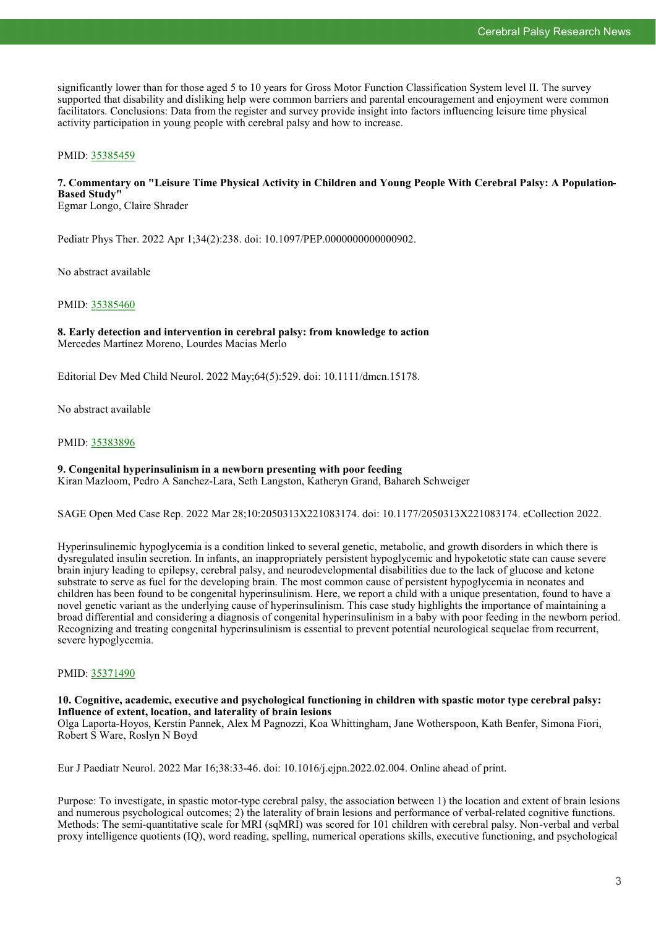significantly lower than for those aged 5 to 10 years for Gross Motor Function Classification System level II. The survey supported that disability and disliking help were common barriers and parental encouragement and enjoyment were common facilitators. Conclusions: Data from the register and survey provide insight into factors influencing leisure time physical activity participation in young people with cerebral palsy and how to increase.

#### PMID: [35385459](http://www.ncbi.nlm.nih.gov/pubmed/35385459)

## **7. Commentary on "Leisure Time Physical Activity in Children and Young People With Cerebral Palsy: A Population-Based Study"**

Egmar Longo, Claire Shrader

Pediatr Phys Ther. 2022 Apr 1;34(2):238. doi: 10.1097/PEP.0000000000000902.

No abstract available

#### PMID: [35385460](http://www.ncbi.nlm.nih.gov/pubmed/35385460)

#### **8. Early detection and intervention in cerebral palsy: from knowledge to action** Mercedes Martínez Moreno, Lourdes Macias Merlo

Editorial Dev Med Child Neurol. 2022 May;64(5):529. doi: 10.1111/dmcn.15178.

No abstract available

#### PMID: [35383896](http://www.ncbi.nlm.nih.gov/pubmed/35383896)

#### **9. Congenital hyperinsulinism in a newborn presenting with poor feeding**

Kiran Mazloom, Pedro A Sanchez-Lara, Seth Langston, Katheryn Grand, Bahareh Schweiger

SAGE Open Med Case Rep. 2022 Mar 28;10:2050313X221083174. doi: 10.1177/2050313X221083174. eCollection 2022.

Hyperinsulinemic hypoglycemia is a condition linked to several genetic, metabolic, and growth disorders in which there is dysregulated insulin secretion. In infants, an inappropriately persistent hypoglycemic and hypoketotic state can cause severe brain injury leading to epilepsy, cerebral palsy, and neurodevelopmental disabilities due to the lack of glucose and ketone substrate to serve as fuel for the developing brain. The most common cause of persistent hypoglycemia in neonates and children has been found to be congenital hyperinsulinism. Here, we report a child with a unique presentation, found to have a novel genetic variant as the underlying cause of hyperinsulinism. This case study highlights the importance of maintaining a broad differential and considering a diagnosis of congenital hyperinsulinism in a baby with poor feeding in the newborn period. Recognizing and treating congenital hyperinsulinism is essential to prevent potential neurological sequelae from recurrent, severe hypoglycemia.

#### PMID: [35371490](http://www.ncbi.nlm.nih.gov/pubmed/35371490)

#### **10. Cognitive, academic, executive and psychological functioning in children with spastic motor type cerebral palsy: Influence of extent, location, and laterality of brain lesions**

Olga Laporta-Hoyos, Kerstin Pannek, Alex M Pagnozzi, Koa Whittingham, Jane Wotherspoon, Kath Benfer, Simona Fiori, Robert S Ware, Roslyn N Boyd

Eur J Paediatr Neurol. 2022 Mar 16;38:33-46. doi: 10.1016/j.ejpn.2022.02.004. Online ahead of print.

Purpose: To investigate, in spastic motor-type cerebral palsy, the association between 1) the location and extent of brain lesions and numerous psychological outcomes; 2) the laterality of brain lesions and performance of verbal-related cognitive functions. Methods: The semi-quantitative scale for MRI (sqMRI) was scored for 101 children with cerebral palsy. Non-verbal and verbal proxy intelligence quotients (IQ), word reading, spelling, numerical operations skills, executive functioning, and psychological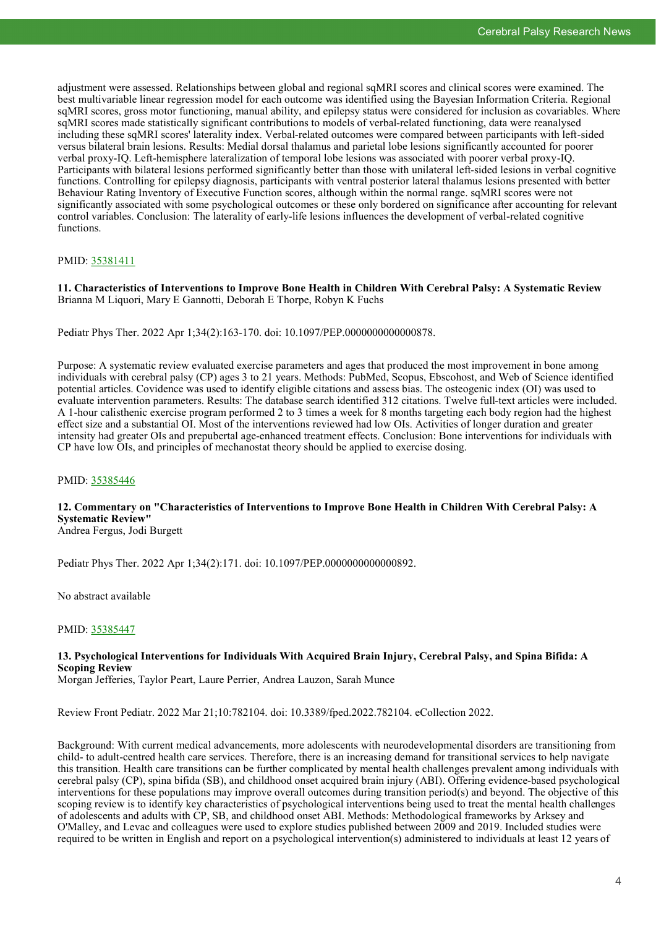adjustment were assessed. Relationships between global and regional sqMRI scores and clinical scores were examined. The best multivariable linear regression model for each outcome was identified using the Bayesian Information Criteria. Regional sqMRI scores, gross motor functioning, manual ability, and epilepsy status were considered for inclusion as covariables. Where sqMRI scores made statistically significant contributions to models of verbal-related functioning, data were reanalysed including these sqMRI scores' laterality index. Verbal-related outcomes were compared between participants with left-sided versus bilateral brain lesions. Results: Medial dorsal thalamus and parietal lobe lesions significantly accounted for poorer verbal proxy-IQ. Left-hemisphere lateralization of temporal lobe lesions was associated with poorer verbal proxy-IQ. Participants with bilateral lesions performed significantly better than those with unilateral left-sided lesions in verbal cognitive functions. Controlling for epilepsy diagnosis, participants with ventral posterior lateral thalamus lesions presented with better Behaviour Rating Inventory of Executive Function scores, although within the normal range. sqMRI scores were not significantly associated with some psychological outcomes or these only bordered on significance after accounting for relevant control variables. Conclusion: The laterality of early-life lesions influences the development of verbal-related cognitive functions.

#### PMID: [35381411](http://www.ncbi.nlm.nih.gov/pubmed/35381411)

**11. Characteristics of Interventions to Improve Bone Health in Children With Cerebral Palsy: A Systematic Review** Brianna M Liquori, Mary E Gannotti, Deborah E Thorpe, Robyn K Fuchs

Pediatr Phys Ther. 2022 Apr 1;34(2):163-170. doi: 10.1097/PEP.0000000000000878.

Purpose: A systematic review evaluated exercise parameters and ages that produced the most improvement in bone among individuals with cerebral palsy (CP) ages 3 to 21 years. Methods: PubMed, Scopus, Ebscohost, and Web of Science identified potential articles. Covidence was used to identify eligible citations and assess bias. The osteogenic index (OI) was used to evaluate intervention parameters. Results: The database search identified 312 citations. Twelve full-text articles were included. A 1-hour calisthenic exercise program performed 2 to 3 times a week for 8 months targeting each body region had the highest effect size and a substantial OI. Most of the interventions reviewed had low OIs. Activities of longer duration and greater intensity had greater OIs and prepubertal age-enhanced treatment effects. Conclusion: Bone interventions for individuals with CP have low OIs, and principles of mechanostat theory should be applied to exercise dosing.

#### PMID: [35385446](http://www.ncbi.nlm.nih.gov/pubmed/35385446)

# **12. Commentary on "Characteristics of Interventions to Improve Bone Health in Children With Cerebral Palsy: A Systematic Review"**

Andrea Fergus, Jodi Burgett

Pediatr Phys Ther. 2022 Apr 1;34(2):171. doi: 10.1097/PEP.0000000000000892.

No abstract available

#### PMID: [35385447](http://www.ncbi.nlm.nih.gov/pubmed/35385447)

#### **13. Psychological Interventions for Individuals With Acquired Brain Injury, Cerebral Palsy, and Spina Bifida: A Scoping Review**

Morgan Jefferies, Taylor Peart, Laure Perrier, Andrea Lauzon, Sarah Munce

Review Front Pediatr. 2022 Mar 21;10:782104. doi: 10.3389/fped.2022.782104. eCollection 2022.

Background: With current medical advancements, more adolescents with neurodevelopmental disorders are transitioning from child- to adult-centred health care services. Therefore, there is an increasing demand for transitional services to help navigate this transition. Health care transitions can be further complicated by mental health challenges prevalent among individuals with cerebral palsy (CP), spina bifida (SB), and childhood onset acquired brain injury (ABI). Offering evidence-based psychological interventions for these populations may improve overall outcomes during transition period(s) and beyond. The objective of this scoping review is to identify key characteristics of psychological interventions being used to treat the mental health challenges of adolescents and adults with CP, SB, and childhood onset ABI. Methods: Methodological frameworks by Arksey and O'Malley, and Levac and colleagues were used to explore studies published between 2009 and 2019. Included studies were required to be written in English and report on a psychological intervention(s) administered to individuals at least 12 years of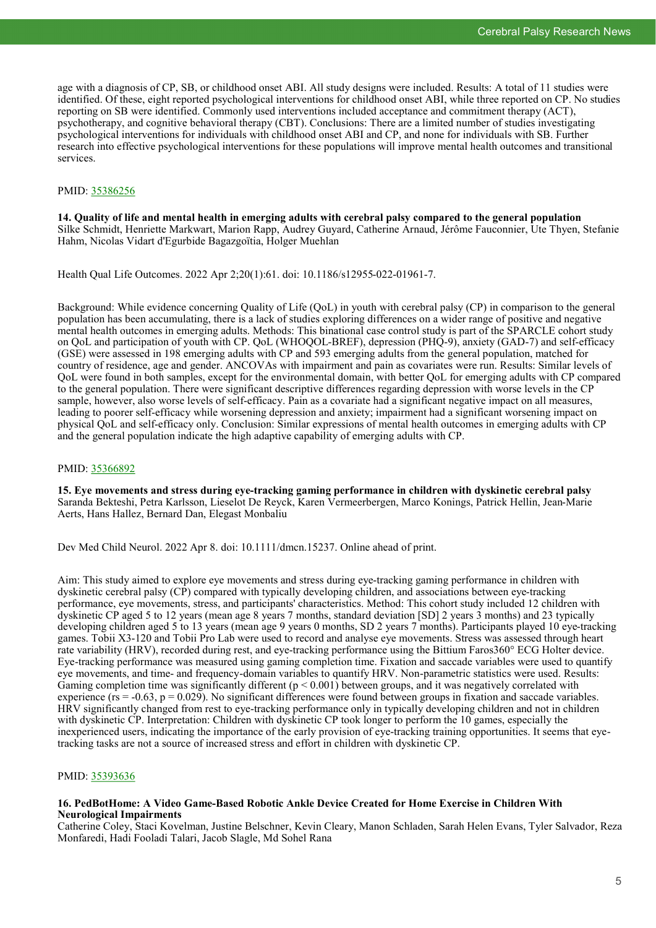age with a diagnosis of CP, SB, or childhood onset ABI. All study designs were included. Results: A total of 11 studies were identified. Of these, eight reported psychological interventions for childhood onset ABI, while three reported on CP. No studies reporting on SB were identified. Commonly used interventions included acceptance and commitment therapy (ACT), psychotherapy, and cognitive behavioral therapy (CBT). Conclusions: There are a limited number of studies investigating psychological interventions for individuals with childhood onset ABI and CP, and none for individuals with SB. Further research into effective psychological interventions for these populations will improve mental health outcomes and transitional services.

#### PMID: [35386256](http://www.ncbi.nlm.nih.gov/pubmed/35386256)

**14. Quality of life and mental health in emerging adults with cerebral palsy compared to the general population** Silke Schmidt, Henriette Markwart, Marion Rapp, Audrey Guyard, Catherine Arnaud, Jérôme Fauconnier, Ute Thyen, Stefanie Hahm, Nicolas Vidart d'Egurbide Bagazgoïtia, Holger Muehlan

Health Qual Life Outcomes. 2022 Apr 2;20(1):61. doi: 10.1186/s12955-022-01961-7.

Background: While evidence concerning Quality of Life (QoL) in youth with cerebral palsy (CP) in comparison to the general population has been accumulating, there is a lack of studies exploring differences on a wider range of positive and negative mental health outcomes in emerging adults. Methods: This binational case control study is part of the SPARCLE cohort study on QoL and participation of youth with CP. QoL (WHOQOL-BREF), depression (PHQ-9), anxiety (GAD-7) and self-efficacy (GSE) were assessed in 198 emerging adults with CP and 593 emerging adults from the general population, matched for country of residence, age and gender. ANCOVAs with impairment and pain as covariates were run. Results: Similar levels of QoL were found in both samples, except for the environmental domain, with better QoL for emerging adults with CP compared to the general population. There were significant descriptive differences regarding depression with worse levels in the CP sample, however, also worse levels of self-efficacy. Pain as a covariate had a significant negative impact on all measures, leading to poorer self-efficacy while worsening depression and anxiety; impairment had a significant worsening impact on physical QoL and self-efficacy only. Conclusion: Similar expressions of mental health outcomes in emerging adults with CP and the general population indicate the high adaptive capability of emerging adults with CP.

#### PMID: [35366892](http://www.ncbi.nlm.nih.gov/pubmed/35366892)

**15. Eye movements and stress during eye-tracking gaming performance in children with dyskinetic cerebral palsy** Saranda Bekteshi, Petra Karlsson, Lieselot De Reyck, Karen Vermeerbergen, Marco Konings, Patrick Hellin, Jean-Marie Aerts, Hans Hallez, Bernard Dan, Elegast Monbaliu

Dev Med Child Neurol. 2022 Apr 8. doi: 10.1111/dmcn.15237. Online ahead of print.

Aim: This study aimed to explore eye movements and stress during eye-tracking gaming performance in children with dyskinetic cerebral palsy (CP) compared with typically developing children, and associations between eye-tracking performance, eye movements, stress, and participants' characteristics. Method: This cohort study included 12 children with dyskinetic CP aged 5 to 12 years (mean age 8 years 7 months, standard deviation [SD] 2 years 3 months) and 23 typically developing children aged 5 to 13 years (mean age 9 years 0 months, SD 2 years 7 months). Participants played 10 eye-tracking games. Tobii X3-120 and Tobii Pro Lab were used to record and analyse eye movements. Stress was assessed through heart rate variability (HRV), recorded during rest, and eye-tracking performance using the Bittium Faros360° ECG Holter device. Eye-tracking performance was measured using gaming completion time. Fixation and saccade variables were used to quantify eye movements, and time- and frequency-domain variables to quantify HRV. Non-parametric statistics were used. Results: Gaming completion time was significantly different  $(p < 0.001)$  between groups, and it was negatively correlated with experience  $(r_s = -0.63, p = 0.029)$ . No significant differences were found between groups in fixation and saccade variables. HRV significantly changed from rest to eye-tracking performance only in typically developing children and not in children with dyskinetic CP. Interpretation: Children with dyskinetic CP took longer to perform the 10 games, especially the inexperienced users, indicating the importance of the early provision of eye-tracking training opportunities. It seems that eyetracking tasks are not a source of increased stress and effort in children with dyskinetic CP.

#### PMID: [35393636](http://www.ncbi.nlm.nih.gov/pubmed/35393636)

#### **16. PedBotHome: A Video Game-Based Robotic Ankle Device Created for Home Exercise in Children With Neurological Impairments**

Catherine Coley, Staci Kovelman, Justine Belschner, Kevin Cleary, Manon Schladen, Sarah Helen Evans, Tyler Salvador, Reza Monfaredi, Hadi Fooladi Talari, Jacob Slagle, Md Sohel Rana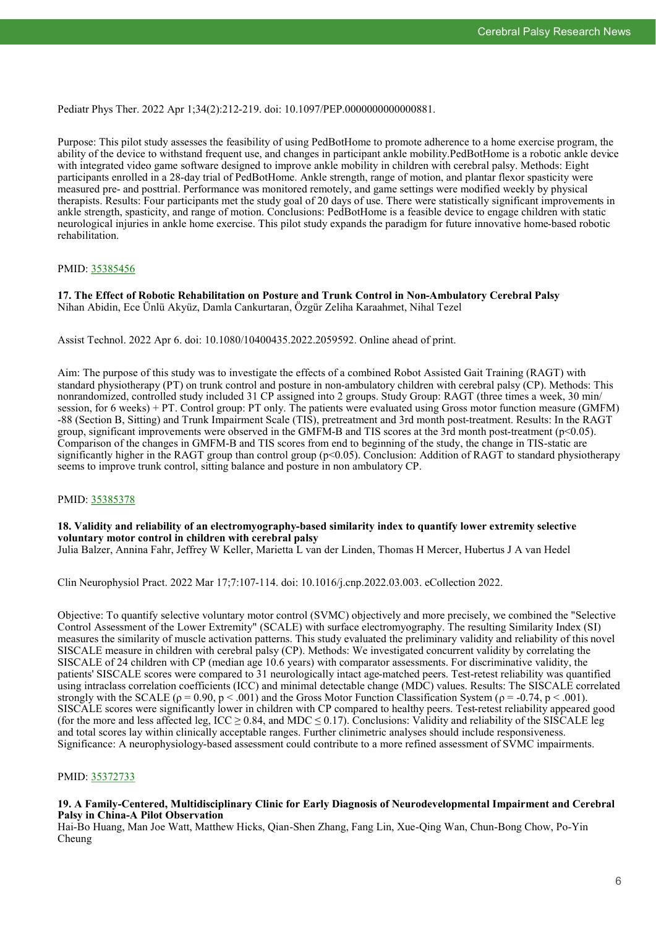Pediatr Phys Ther. 2022 Apr 1;34(2):212-219. doi: 10.1097/PEP.0000000000000881.

Purpose: This pilot study assesses the feasibility of using PedBotHome to promote adherence to a home exercise program, the ability of the device to withstand frequent use, and changes in participant ankle mobility.PedBotHome is a robotic ankle device with integrated video game software designed to improve ankle mobility in children with cerebral palsy. Methods: Eight participants enrolled in a 28-day trial of PedBotHome. Ankle strength, range of motion, and plantar flexor spasticity were measured pre- and posttrial. Performance was monitored remotely, and game settings were modified weekly by physical therapists. Results: Four participants met the study goal of 20 days of use. There were statistically significant improvements in ankle strength, spasticity, and range of motion. Conclusions: PedBotHome is a feasible device to engage children with static neurological injuries in ankle home exercise. This pilot study expands the paradigm for future innovative home-based robotic rehabilitation.

#### PMID: [35385456](http://www.ncbi.nlm.nih.gov/pubmed/35385456)

**17. The Effect of Robotic Rehabilitation on Posture and Trunk Control in Non-Ambulatory Cerebral Palsy** Nihan Abidin, Ece Ünlü Akyüz, Damla Cankurtaran, Özgür Zeliha Karaahmet, Nihal Tezel

Assist Technol. 2022 Apr 6. doi: 10.1080/10400435.2022.2059592. Online ahead of print.

Aim: The purpose of this study was to investigate the effects of a combined Robot Assisted Gait Training (RAGT) with standard physiotherapy (PT) on trunk control and posture in non-ambulatory children with cerebral palsy (CP). Methods: This nonrandomized, controlled study included 31 CP assigned into 2 groups. Study Group: RAGT (three times a week, 30 min/ session, for 6 weeks) + PT. Control group: PT only. The patients were evaluated using Gross motor function measure (GMFM) -88 (Section B, Sitting) and Trunk Impairment Scale (TIS), pretreatment and 3rd month post-treatment. Results: In the RAGT group, significant improvements were observed in the GMFM-B and TIS scores at the 3rd month post-treatment (p<0.05). Comparison of the changes in GMFM-B and TIS scores from end to beginning of the study, the change in TIS-static are significantly higher in the RAGT group than control group ( $p<0.05$ ). Conclusion: Addition of RAGT to standard physiotherapy seems to improve trunk control, sitting balance and posture in non ambulatory CP.

#### PMID: [35385378](http://www.ncbi.nlm.nih.gov/pubmed/35385378)

## **18. Validity and reliability of an electromyography-based similarity index to quantify lower extremity selective voluntary motor control in children with cerebral palsy**

Julia Balzer, Annina Fahr, Jeffrey W Keller, Marietta L van der Linden, Thomas H Mercer, Hubertus J A van Hedel

Clin Neurophysiol Pract. 2022 Mar 17;7:107-114. doi: 10.1016/j.cnp.2022.03.003. eCollection 2022.

Objective: To quantify selective voluntary motor control (SVMC) objectively and more precisely, we combined the "Selective Control Assessment of the Lower Extremity" (SCALE) with surface electromyography. The resulting Similarity Index (SI) measures the similarity of muscle activation patterns. This study evaluated the preliminary validity and reliability of this novel SISCALE measure in children with cerebral palsy (CP). Methods: We investigated concurrent validity by correlating the SISCALE of 24 children with CP (median age 10.6 years) with comparator assessments. For discriminative validity, the patients' SISCALE scores were compared to 31 neurologically intact age-matched peers. Test-retest reliability was quantified using intraclass correlation coefficients (ICC) and minimal detectable change (MDC) values. Results: The SISCALE correlated strongly with the SCALE ( $\rho = 0.90$ ,  $p < 0.001$ ) and the Gross Motor Function Classification System ( $\rho = -0.74$ ,  $p < 0.01$ ). SISCALE scores were significantly lower in children with CP compared to healthy peers. Test-retest reliability appeared good (for the more and less affected leg,  $ICC \ge 0.84$ , and MDC  $\le 0.17$ ). Conclusions: Validity and reliability of the SISCALE leg and total scores lay within clinically acceptable ranges. Further clinimetric analyses should include responsiveness. Significance: A neurophysiology-based assessment could contribute to a more refined assessment of SVMC impairments.

#### PMID: [35372733](http://www.ncbi.nlm.nih.gov/pubmed/35372733)

#### **19. A Family-Centered, Multidisciplinary Clinic for Early Diagnosis of Neurodevelopmental Impairment and Cerebral Palsy in China-A Pilot Observation**

Hai-Bo Huang, Man Joe Watt, Matthew Hicks, Qian-Shen Zhang, Fang Lin, Xue-Qing Wan, Chun-Bong Chow, Po-Yin Cheung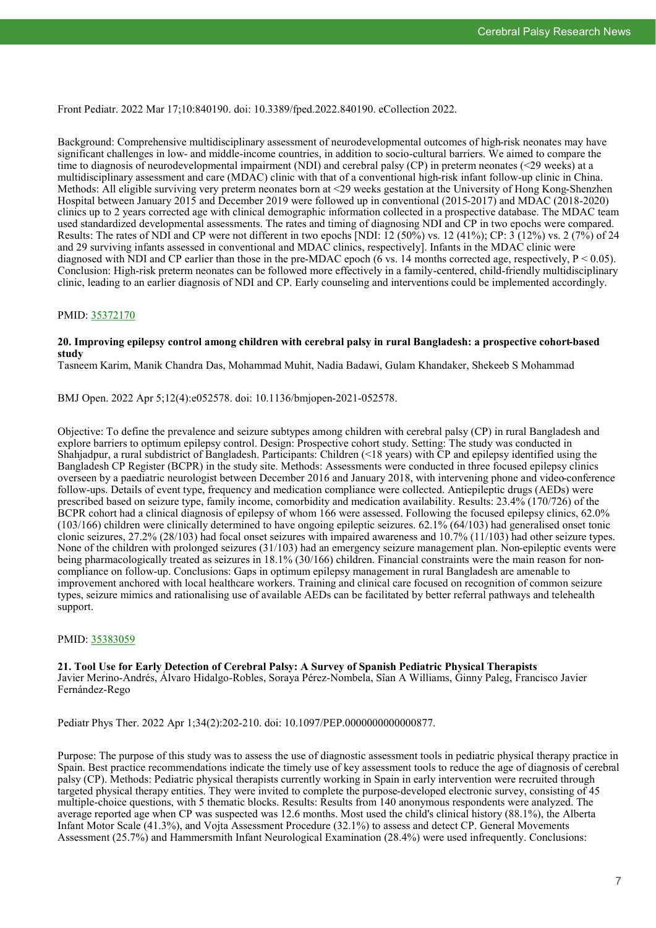Front Pediatr. 2022 Mar 17;10:840190. doi: 10.3389/fped.2022.840190. eCollection 2022.

Background: Comprehensive multidisciplinary assessment of neurodevelopmental outcomes of high-risk neonates may have significant challenges in low- and middle-income countries, in addition to socio-cultural barriers. We aimed to compare the time to diagnosis of neurodevelopmental impairment (NDI) and cerebral palsy (CP) in preterm neonates (<29 weeks) at a multidisciplinary assessment and care (MDAC) clinic with that of a conventional high-risk infant follow-up clinic in China. Methods: All eligible surviving very preterm neonates born at <29 weeks gestation at the University of Hong Kong-Shenzhen Hospital between January 2015 and December 2019 were followed up in conventional (2015-2017) and MDAC (2018-2020) clinics up to 2 years corrected age with clinical demographic information collected in a prospective database. The MDAC team used standardized developmental assessments. The rates and timing of diagnosing NDI and CP in two epochs were compared. Results: The rates of NDI and CP were not different in two epochs [NDI:  $12 (50\%)$  vs.  $12 (41\%)$ ; CP:  $3 (12\%)$  vs.  $2 (7\%)$  of 24 and 29 surviving infants assessed in conventional and MDAC clinics, respectively]. Infants in the MDAC clinic were diagnosed with NDI and CP earlier than those in the pre-MDAC epoch (6 vs. 14 months corrected age, respectively,  $P < 0.05$ ). Conclusion: High-risk preterm neonates can be followed more effectively in a family-centered, child-friendly multidisciplinary clinic, leading to an earlier diagnosis of NDI and CP. Early counseling and interventions could be implemented accordingly.

#### PMID: [35372170](http://www.ncbi.nlm.nih.gov/pubmed/35372170)

#### **20. Improving epilepsy control among children with cerebral palsy in rural Bangladesh: a prospective cohort-based study**

Tasneem Karim, Manik Chandra Das, Mohammad Muhit, Nadia Badawi, Gulam Khandaker, Shekeeb S Mohammad

BMJ Open. 2022 Apr 5;12(4):e052578. doi: 10.1136/bmjopen-2021-052578.

Objective: To define the prevalence and seizure subtypes among children with cerebral palsy (CP) in rural Bangladesh and explore barriers to optimum epilepsy control. Design: Prospective cohort study. Setting: The study was conducted in Shahjadpur, a rural subdistrict of Bangladesh. Participants: Children (<18 years) with CP and epilepsy identified using the Bangladesh CP Register (BCPR) in the study site. Methods: Assessments were conducted in three focused epilepsy clinics overseen by a paediatric neurologist between December 2016 and January 2018, with intervening phone and video-conference follow-ups. Details of event type, frequency and medication compliance were collected. Antiepileptic drugs (AEDs) were prescribed based on seizure type, family income, comorbidity and medication availability. Results: 23.4% (170/726) of the BCPR cohort had a clinical diagnosis of epilepsy of whom 166 were assessed. Following the focused epilepsy clinics, 62.0% (103/166) children were clinically determined to have ongoing epileptic seizures. 62.1% (64/103) had generalised onset tonic clonic seizures, 27.2% (28/103) had focal onset seizures with impaired awareness and 10.7% (11/103) had other seizure types. None of the children with prolonged seizures (31/103) had an emergency seizure management plan. Non-epileptic events were being pharmacologically treated as seizures in 18.1% (30/166) children. Financial constraints were the main reason for noncompliance on follow-up. Conclusions: Gaps in optimum epilepsy management in rural Bangladesh are amenable to improvement anchored with local healthcare workers. Training and clinical care focused on recognition of common seizure types, seizure mimics and rationalising use of available AEDs can be facilitated by better referral pathways and telehealth support.

#### PMID: [35383059](http://www.ncbi.nlm.nih.gov/pubmed/35383059)

**21. Tool Use for Early Detection of Cerebral Palsy: A Survey of Spanish Pediatric Physical Therapists** Javier Merino-Andrés, Álvaro Hidalgo-Robles, Soraya Pérez-Nombela, Sîan A Williams, Ginny Paleg, Francisco Javier Fernández-Rego

Pediatr Phys Ther. 2022 Apr 1;34(2):202-210. doi: 10.1097/PEP.0000000000000877.

Purpose: The purpose of this study was to assess the use of diagnostic assessment tools in pediatric physical therapy practice in Spain. Best practice recommendations indicate the timely use of key assessment tools to reduce the age of diagnosis of cerebral palsy (CP). Methods: Pediatric physical therapists currently working in Spain in early intervention were recruited through targeted physical therapy entities. They were invited to complete the purpose-developed electronic survey, consisting of 45 multiple-choice questions, with 5 thematic blocks. Results: Results from 140 anonymous respondents were analyzed. The average reported age when CP was suspected was 12.6 months. Most used the child's clinical history (88.1%), the Alberta Infant Motor Scale (41.3%), and Vojta Assessment Procedure (32.1%) to assess and detect CP. General Movements Assessment (25.7%) and Hammersmith Infant Neurological Examination (28.4%) were used infrequently. Conclusions: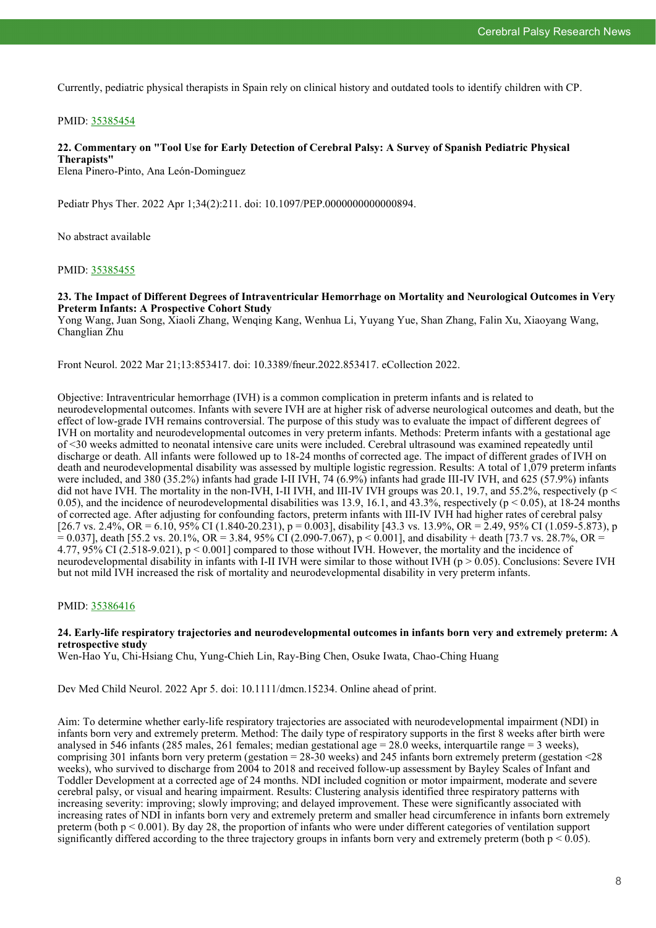Currently, pediatric physical therapists in Spain rely on clinical history and outdated tools to identify children with CP.

#### PMID: [35385454](http://www.ncbi.nlm.nih.gov/pubmed/35385454)

#### **22. Commentary on "Tool Use for Early Detection of Cerebral Palsy: A Survey of Spanish Pediatric Physical Therapists"**

Elena Pinero-Pinto, Ana León-Dominguez

Pediatr Phys Ther. 2022 Apr 1;34(2):211. doi: 10.1097/PEP.0000000000000894.

No abstract available

#### PMID: [35385455](http://www.ncbi.nlm.nih.gov/pubmed/35385455)

#### **23. The Impact of Different Degrees of Intraventricular Hemorrhage on Mortality and Neurological Outcomes in Very Preterm Infants: A Prospective Cohort Study**

Yong Wang, Juan Song, Xiaoli Zhang, Wenqing Kang, Wenhua Li, Yuyang Yue, Shan Zhang, Falin Xu, Xiaoyang Wang, Changlian Zhu

Front Neurol. 2022 Mar 21;13:853417. doi: 10.3389/fneur.2022.853417. eCollection 2022.

Objective: Intraventricular hemorrhage (IVH) is a common complication in preterm infants and is related to neurodevelopmental outcomes. Infants with severe IVH are at higher risk of adverse neurological outcomes and death, but the effect of low-grade IVH remains controversial. The purpose of this study was to evaluate the impact of different degrees of IVH on mortality and neurodevelopmental outcomes in very preterm infants. Methods: Preterm infants with a gestational age of <30 weeks admitted to neonatal intensive care units were included. Cerebral ultrasound was examined repeatedly until discharge or death. All infants were followed up to 18-24 months of corrected age. The impact of different grades of IVH on death and neurodevelopmental disability was assessed by multiple logistic regression. Results: A total of 1,079 preterm infants were included, and 380 (35.2%) infants had grade I-II IVH, 74 (6.9%) infants had grade III-IV IVH, and 625 (57.9%) infants did not have IVH. The mortality in the non-IVH, I-II IVH, and III-IV IVH groups was 20.1, 19.7, and 55.2%, respectively ( $p <$ 0.05), and the incidence of neurodevelopmental disabilities was 13.9, 16.1, and 43.3%, respectively ( $p < 0.05$ ), at 18-24 months of corrected age. After adjusting for confounding factors, preterm infants with III-IV IVH had higher rates of cerebral palsy  $[26.7 \text{ vs. } 2.4\%, \text{ OR } = 6.10, 95\% \text{ CI } (1.840\text{-}20.231), p = 0.003$ , disability [43.3 vs. 13.9%, OR = 2.49, 95% CI (1.059-5.873), p  $= 0.037$ ], death [55.2 vs. 20.1%, OR = 3.84, 95% CI (2.090-7.067), p < 0.001], and disability + death [73.7 vs. 28.7%, OR = 4.77, 95% CI (2.518-9.021), p < 0.001] compared to those without IVH. However, the mortality and the incidence of neurodevelopmental disability in infants with I-II IVH were similar to those without IVH ( $p > 0.05$ ). Conclusions: Severe IVH but not mild IVH increased the risk of mortality and neurodevelopmental disability in very preterm infants.

#### PMID: [35386416](http://www.ncbi.nlm.nih.gov/pubmed/35386416)

#### **24. Early-life respiratory trajectories and neurodevelopmental outcomes in infants born very and extremely preterm: A retrospective study**

Wen-Hao Yu, Chi-Hsiang Chu, Yung-Chieh Lin, Ray-Bing Chen, Osuke Iwata, Chao-Ching Huang

Dev Med Child Neurol. 2022 Apr 5. doi: 10.1111/dmcn.15234. Online ahead of print.

Aim: To determine whether early-life respiratory trajectories are associated with neurodevelopmental impairment (NDI) in infants born very and extremely preterm. Method: The daily type of respiratory supports in the first 8 weeks after birth were analysed in 546 infants (285 males, 261 females; median gestational age  $= 28.0$  weeks, interquartile range  $= 3$  weeks), comprising 301 infants born very preterm (gestation = 28-30 weeks) and 245 infants born extremely preterm (gestation <28 weeks), who survived to discharge from 2004 to 2018 and received follow-up assessment by Bayley Scales of Infant and Toddler Development at a corrected age of 24 months. NDI included cognition or motor impairment, moderate and severe cerebral palsy, or visual and hearing impairment. Results: Clustering analysis identified three respiratory patterns with increasing severity: improving; slowly improving; and delayed improvement. These were significantly associated with increasing rates of NDI in infants born very and extremely preterm and smaller head circumference in infants born extremely preterm (both  $p < 0.001$ ). By day 28, the proportion of infants who were under different categories of ventilation support significantly differed according to the three trajectory groups in infants born very and extremely preterm (both  $p < 0.05$ ).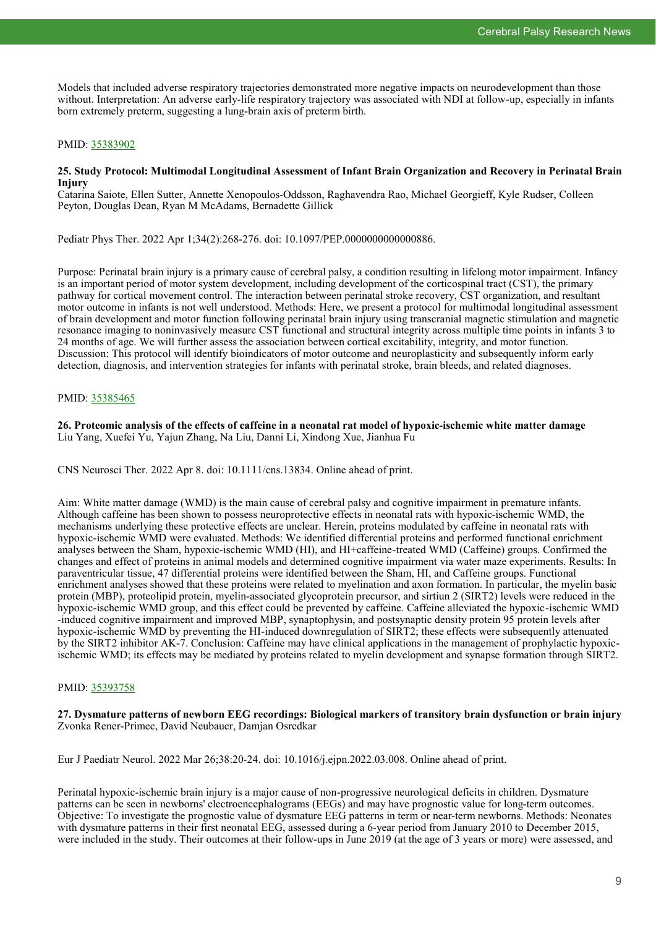Models that included adverse respiratory trajectories demonstrated more negative impacts on neurodevelopment than those without. Interpretation: An adverse early-life respiratory trajectory was associated with NDI at follow-up, especially in infants born extremely preterm, suggesting a lung-brain axis of preterm birth.

#### PMID: [35383902](http://www.ncbi.nlm.nih.gov/pubmed/35383902)

#### **25. Study Protocol: Multimodal Longitudinal Assessment of Infant Brain Organization and Recovery in Perinatal Brain Injury**

Catarina Saiote, Ellen Sutter, Annette Xenopoulos-Oddsson, Raghavendra Rao, Michael Georgieff, Kyle Rudser, Colleen Peyton, Douglas Dean, Ryan M McAdams, Bernadette Gillick

Pediatr Phys Ther. 2022 Apr 1;34(2):268-276. doi: 10.1097/PEP.0000000000000886.

Purpose: Perinatal brain injury is a primary cause of cerebral palsy, a condition resulting in lifelong motor impairment. Infancy is an important period of motor system development, including development of the corticospinal tract (CST), the primary pathway for cortical movement control. The interaction between perinatal stroke recovery, CST organization, and resultant motor outcome in infants is not well understood. Methods: Here, we present a protocol for multimodal longitudinal assessment of brain development and motor function following perinatal brain injury using transcranial magnetic stimulation and magnetic resonance imaging to noninvasively measure CST functional and structural integrity across multiple time points in infants 3 to 24 months of age. We will further assess the association between cortical excitability, integrity, and motor function. Discussion: This protocol will identify bioindicators of motor outcome and neuroplasticity and subsequently inform early detection, diagnosis, and intervention strategies for infants with perinatal stroke, brain bleeds, and related diagnoses.

#### PMID: [35385465](http://www.ncbi.nlm.nih.gov/pubmed/35385465)

**26. Proteomic analysis of the effects of caffeine in a neonatal rat model of hypoxic-ischemic white matter damage** Liu Yang, Xuefei Yu, Yajun Zhang, Na Liu, Danni Li, Xindong Xue, Jianhua Fu

CNS Neurosci Ther. 2022 Apr 8. doi: 10.1111/cns.13834. Online ahead of print.

Aim: White matter damage (WMD) is the main cause of cerebral palsy and cognitive impairment in premature infants. Although caffeine has been shown to possess neuroprotective effects in neonatal rats with hypoxic-ischemic WMD, the mechanisms underlying these protective effects are unclear. Herein, proteins modulated by caffeine in neonatal rats with hypoxic-ischemic WMD were evaluated. Methods: We identified differential proteins and performed functional enrichment analyses between the Sham, hypoxic-ischemic WMD (HI), and HI+caffeine-treated WMD (Caffeine) groups. Confirmed the changes and effect of proteins in animal models and determined cognitive impairment via water maze experiments. Results: In paraventricular tissue, 47 differential proteins were identified between the Sham, HI, and Caffeine groups. Functional enrichment analyses showed that these proteins were related to myelination and axon formation. In particular, the myelin basic protein (MBP), proteolipid protein, myelin-associated glycoprotein precursor, and sirtiun 2 (SIRT2) levels were reduced in the hypoxic-ischemic WMD group, and this effect could be prevented by caffeine. Caffeine alleviated the hypoxic-ischemic WMD -induced cognitive impairment and improved MBP, synaptophysin, and postsynaptic density protein 95 protein levels after hypoxic-ischemic WMD by preventing the HI-induced downregulation of SIRT2; these effects were subsequently attenuated by the SIRT2 inhibitor AK-7. Conclusion: Caffeine may have clinical applications in the management of prophylactic hypoxicischemic WMD; its effects may be mediated by proteins related to myelin development and synapse formation through SIRT2.

#### PMID: [35393758](http://www.ncbi.nlm.nih.gov/pubmed/35393758)

#### **27. Dysmature patterns of newborn EEG recordings: Biological markers of transitory brain dysfunction or brain injury** Zvonka Rener-Primec, David Neubauer, Damjan Osredkar

Eur J Paediatr Neurol. 2022 Mar 26;38:20-24. doi: 10.1016/j.ejpn.2022.03.008. Online ahead of print.

Perinatal hypoxic-ischemic brain injury is a major cause of non-progressive neurological deficits in children. Dysmature patterns can be seen in newborns' electroencephalograms (EEGs) and may have prognostic value for long-term outcomes. Objective: To investigate the prognostic value of dysmature EEG patterns in term or near-term newborns. Methods: Neonates with dysmature patterns in their first neonatal EEG, assessed during a 6-year period from January 2010 to December 2015, were included in the study. Their outcomes at their follow-ups in June 2019 (at the age of 3 years or more) were assessed, and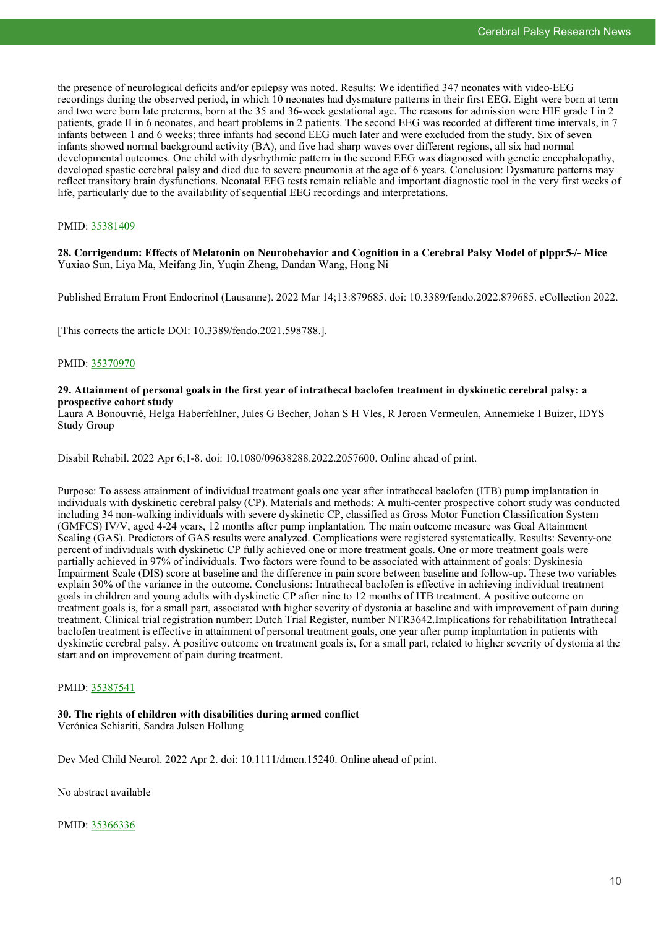the presence of neurological deficits and/or epilepsy was noted. Results: We identified 347 neonates with video-EEG recordings during the observed period, in which 10 neonates had dysmature patterns in their first EEG. Eight were born at term and two were born late preterms, born at the 35 and 36-week gestational age. The reasons for admission were HIE grade I in 2 patients, grade II in 6 neonates, and heart problems in 2 patients. The second EEG was recorded at different time intervals, in 7 infants between 1 and 6 weeks; three infants had second EEG much later and were excluded from the study. Six of seven infants showed normal background activity (BA), and five had sharp waves over different regions, all six had normal developmental outcomes. One child with dysrhythmic pattern in the second EEG was diagnosed with genetic encephalopathy, developed spastic cerebral palsy and died due to severe pneumonia at the age of 6 years. Conclusion: Dysmature patterns may reflect transitory brain dysfunctions. Neonatal EEG tests remain reliable and important diagnostic tool in the very first weeks of life, particularly due to the availability of sequential EEG recordings and interpretations.

#### PMID: [35381409](http://www.ncbi.nlm.nih.gov/pubmed/35381409)

**28. Corrigendum: Effects of Melatonin on Neurobehavior and Cognition in a Cerebral Palsy Model of plppr5-/- Mice** Yuxiao Sun, Liya Ma, Meifang Jin, Yuqin Zheng, Dandan Wang, Hong Ni

Published Erratum Front Endocrinol (Lausanne). 2022 Mar 14;13:879685. doi: 10.3389/fendo.2022.879685. eCollection 2022.

[This corrects the article DOI: 10.3389/fendo.2021.598788.].

#### PMID: [35370970](http://www.ncbi.nlm.nih.gov/pubmed/35370970)

#### **29. Attainment of personal goals in the first year of intrathecal baclofen treatment in dyskinetic cerebral palsy: a prospective cohort study**

Laura A Bonouvrié, Helga Haberfehlner, Jules G Becher, Johan S H Vles, R Jeroen Vermeulen, Annemieke I Buizer, IDYS Study Group

Disabil Rehabil. 2022 Apr 6;1-8. doi: 10.1080/09638288.2022.2057600. Online ahead of print.

Purpose: To assess attainment of individual treatment goals one year after intrathecal baclofen (ITB) pump implantation in individuals with dyskinetic cerebral palsy (CP). Materials and methods: A multi-center prospective cohort study was conducted including 34 non-walking individuals with severe dyskinetic CP, classified as Gross Motor Function Classification System (GMFCS) IV/V, aged 4-24 years, 12 months after pump implantation. The main outcome measure was Goal Attainment Scaling (GAS). Predictors of GAS results were analyzed. Complications were registered systematically. Results: Seventy-one percent of individuals with dyskinetic CP fully achieved one or more treatment goals. One or more treatment goals were partially achieved in 97% of individuals. Two factors were found to be associated with attainment of goals: Dyskinesia Impairment Scale (DIS) score at baseline and the difference in pain score between baseline and follow-up. These two variables explain 30% of the variance in the outcome. Conclusions: Intrathecal baclofen is effective in achieving individual treatment goals in children and young adults with dyskinetic CP after nine to 12 months of ITB treatment. A positive outcome on treatment goals is, for a small part, associated with higher severity of dystonia at baseline and with improvement of pain during treatment. Clinical trial registration number: Dutch Trial Register, number NTR3642.Implications for rehabilitation Intrathecal baclofen treatment is effective in attainment of personal treatment goals, one year after pump implantation in patients with dyskinetic cerebral palsy. A positive outcome on treatment goals is, for a small part, related to higher severity of dystonia at the start and on improvement of pain during treatment.

#### PMID: [35387541](http://www.ncbi.nlm.nih.gov/pubmed/35387541)

#### **30. The rights of children with disabilities during armed conflict** Verónica Schiariti, Sandra Julsen Hollung

Dev Med Child Neurol. 2022 Apr 2. doi: 10.1111/dmcn.15240. Online ahead of print.

No abstract available

PMID: [35366336](http://www.ncbi.nlm.nih.gov/pubmed/35366336)